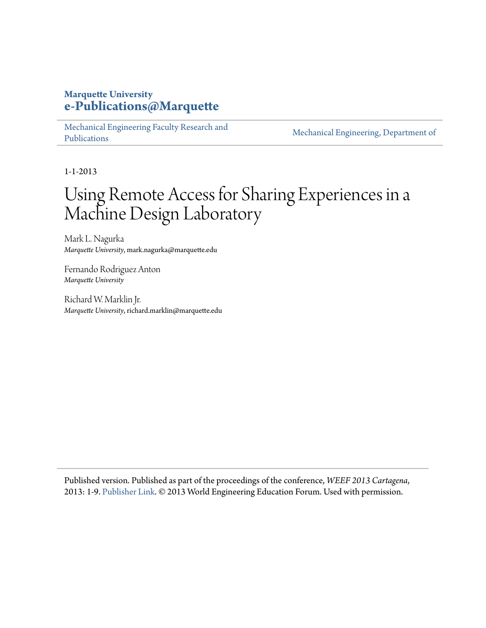### **Marquette University [e-Publications@Marquette](https://epublications.marquette.edu)**

[Mechanical Engineering Faculty Research and](https://epublications.marquette.edu/mechengin_fac) [Publications](https://epublications.marquette.edu/mechengin_fac)

[Mechanical Engineering, Department of](https://epublications.marquette.edu/mechengin)

1-1-2013

# Using Remote Access for Sharing Experiences in a Machine Design Laboratory

Mark L. Nagurka *Marquette University*, mark.nagurka@marquette.edu

Fernando Rodriguez Anton *Marquette University*

Richard W. Marklin Jr. *Marquette University*, richard.marklin@marquette.edu

Published version. Published as part of the proceedings of the conference, *WEEF 2013 Cartagena*, 2013: 1-9. [Publisher Link](http://www.acofipapers.org/index.php/acofipapers/2013/paper/view/403). © 2013 World Engineering Education Forum. Used with permission.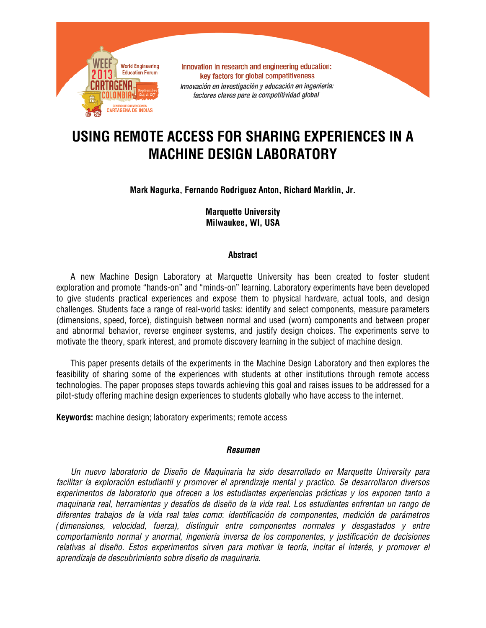

## **USING REMOTE ACCESS FOR SHARING EXPERIENCES IN A MACHINE DESIGN LABORATORY**

#### **Mark Nagurka, Fernando Rodriguez Anton, Richard Marklin, Jr.**

**Marquette University Milwaukee, WI, USA**

#### **Abstract**

A new Machine Design Laboratory at Marquette University has been created to foster student exploration and promote "hands-on" and "minds-on" learning. Laboratory experiments have been developed to give students practical experiences and expose them to physical hardware, actual tools, and design challenges. Students face a range of real-world tasks: identify and select components, measure parameters (dimensions, speed, force), distinguish between normal and used (worn) components and between proper and abnormal behavior, reverse engineer systems, and justify design choices. The experiments serve to motivate the theory, spark interest, and promote discovery learning in the subject of machine design.

This paper presents details of the experiments in the Machine Design Laboratory and then explores the feasibility of sharing some of the experiences with students at other institutions through remote access technologies. The paper proposes steps towards achieving this goal and raises issues to be addressed for a pilot-study offering machine design experiences to students globally who have access to the internet.

**Keywords:** machine design; laboratory experiments; remote access

#### *Resumen*

*Un nuevo laboratorio de Diseño de Maquinaria ha sido desarrollado en Marquette University para facilitar la exploración estudiantil y promover el aprendizaje mental y practico. Se desarrollaron diversos experimentos de laboratorio que ofrecen a los estudiantes experiencias prácticas y los exponen tanto a maquinaria real, herramientas y desafíos de diseño de la vida real. Los estudiantes enfrentan un rango de diferentes trabajos de la vida real tales como: identificación de componentes, medición de parámetros (dimensiones, velocidad, fuerza), distinguir entre componentes normales y desgastados y entre comportamiento normal y anormal, ingeniería inversa de los componentes, y justificación de decisiones relativas al diseño. Estos experimentos sirven para motivar la teoría, incitar el interés, y promover el aprendizaje de descubrimiento sobre diseño de maquinaria.*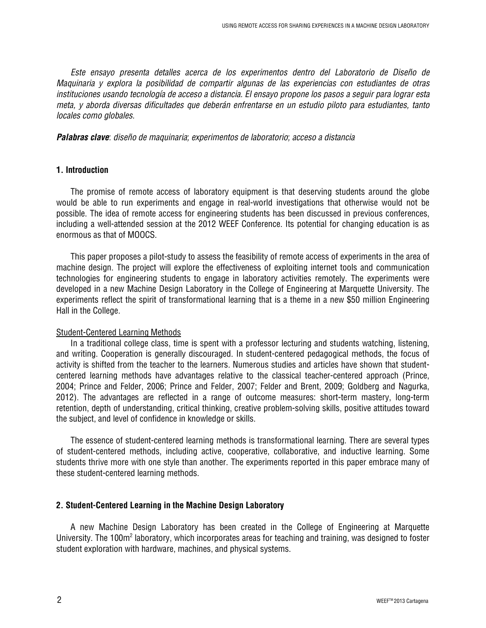*Este ensayo presenta detalles acerca de los experimentos dentro del Laboratorio de Diseño de Maquinaria y explora la posibilidad de compartir algunas de las experiencias con estudiantes de otras instituciones usando tecnología de acceso a distancia. El ensayo propone los pasos a seguir para lograr esta meta, y aborda diversas dificultades que deberán enfrentarse en un estudio piloto para estudiantes, tanto locales como globales.*

*Palabras clave: diseño de maquinaria; experimentos de laboratorio; acceso a distancia* 

#### **1. Introduction**

The promise of remote access of laboratory equipment is that deserving students around the globe would be able to run experiments and engage in real-world investigations that otherwise would not be possible. The idea of remote access for engineering students has been discussed in previous conferences, including a well-attended session at the 2012 WEEF Conference. Its potential for changing education is as enormous as that of MOOCS.

This paper proposes a pilot-study to assess the feasibility of remote access of experiments in the area of machine design. The project will explore the effectiveness of exploiting internet tools and communication technologies for engineering students to engage in laboratory activities remotely. The experiments were developed in a new Machine Design Laboratory in the College of Engineering at Marquette University. The experiments reflect the spirit of transformational learning that is a theme in a new \$50 million Engineering Hall in the College.

#### Student-Centered Learning Methods

In a traditional college class, time is spent with a professor lecturing and students watching, listening, and writing. Cooperation is generally discouraged. In student-centered pedagogical methods, the focus of activity is shifted from the teacher to the learners. Numerous studies and articles have shown that studentcentered learning methods have advantages relative to the classical teacher-centered approach (Prince, 2004; Prince and Felder, 2006; Prince and Felder, 2007; Felder and Brent, 2009; Goldberg and Nagurka, 2012). The advantages are reflected in a range of outcome measures: short-term mastery, long-term retention, depth of understanding, critical thinking, creative problem-solving skills, positive attitudes toward the subject, and level of confidence in knowledge or skills.

The essence of student-centered learning methods is transformational learning. There are several types of student-centered methods, including active, cooperative, collaborative, and inductive learning. Some students thrive more with one style than another. The experiments reported in this paper embrace many of these student-centered learning methods.

#### **2. Student-Centered Learning in the Machine Design Laboratory**

A new Machine Design Laboratory has been created in the College of Engineering at Marquette University. The 100m<sup>2</sup> laboratory, which incorporates areas for teaching and training, was designed to foster student exploration with hardware, machines, and physical systems.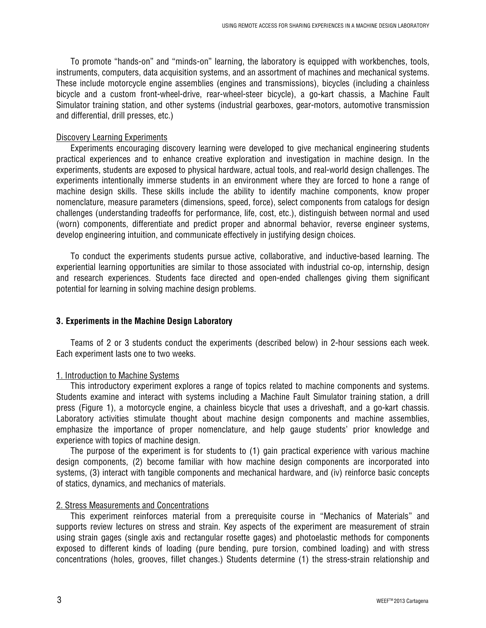To promote "hands-on" and "minds-on" learning, the laboratory is equipped with workbenches, tools, instruments, computers, data acquisition systems, and an assortment of machines and mechanical systems. These include motorcycle engine assemblies (engines and transmissions), bicycles (including a chainless bicycle and a custom front-wheel-drive, rear-wheel-steer bicycle), a go-kart chassis, a Machine Fault Simulator training station, and other systems (industrial gearboxes, gear-motors, automotive transmission and differential, drill presses, etc.)

#### Discovery Learning Experiments

Experiments encouraging discovery learning were developed to give mechanical engineering students practical experiences and to enhance creative exploration and investigation in machine design. In the experiments, students are exposed to physical hardware, actual tools, and real-world design challenges. The experiments intentionally immerse students in an environment where they are forced to hone a range of machine design skills. These skills include the ability to identify machine components, know proper nomenclature, measure parameters (dimensions, speed, force), select components from catalogs for design challenges (understanding tradeoffs for performance, life, cost, etc.), distinguish between normal and used (worn) components, differentiate and predict proper and abnormal behavior, reverse engineer systems, develop engineering intuition, and communicate effectively in justifying design choices.

To conduct the experiments students pursue active, collaborative, and inductive-based learning. The experiential learning opportunities are similar to those associated with industrial co-op, internship, design and research experiences. Students face directed and open-ended challenges giving them significant potential for learning in solving machine design problems.

#### **3. Experiments in the Machine Design Laboratory**

Teams of 2 or 3 students conduct the experiments (described below) in 2-hour sessions each week. Each experiment lasts one to two weeks.

#### 1. Introduction to Machine Systems

This introductory experiment explores a range of topics related to machine components and systems. Students examine and interact with systems including a Machine Fault Simulator training station, a drill press (Figure 1), a motorcycle engine, a chainless bicycle that uses a driveshaft, and a go-kart chassis. Laboratory activities stimulate thought about machine design components and machine assemblies, emphasize the importance of proper nomenclature, and help gauge students' prior knowledge and experience with topics of machine design.

The purpose of the experiment is for students to (1) gain practical experience with various machine design components, (2) become familiar with how machine design components are incorporated into systems, (3) interact with tangible components and mechanical hardware, and (iv) reinforce basic concepts of statics, dynamics, and mechanics of materials.

#### 2. Stress Measurements and Concentrations

This experiment reinforces material from a prerequisite course in "Mechanics of Materials" and supports review lectures on stress and strain. Key aspects of the experiment are measurement of strain using strain gages (single axis and rectangular rosette gages) and photoelastic methods for components exposed to different kinds of loading (pure bending, pure torsion, combined loading) and with stress concentrations (holes, grooves, fillet changes.) Students determine (1) the stress-strain relationship and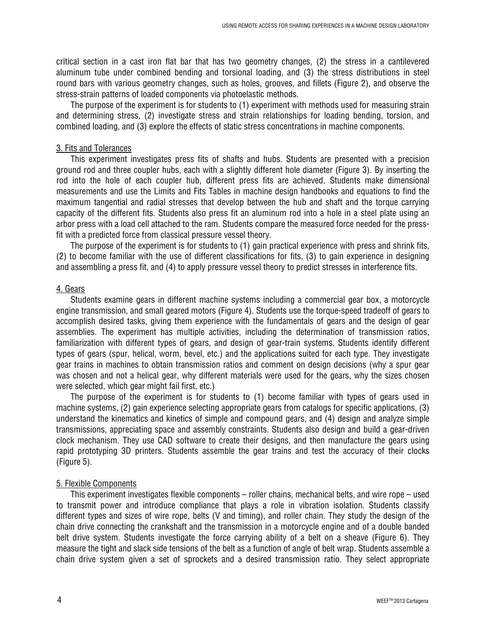critical section in a cast iron flat bar that has two geometry changes, (2) the stress in a cantilevered aluminum tube under combined bending and torsional loading, and (3) the stress distributions in steel round bars with various geometry changes, such as holes, grooves, and fillets (Figure 2), and observe the stress-strain patterns of loaded components via photoelastic methods.

The purpose of the experiment is for students to (1) experiment with methods used for measuring strain and determining stress, (2) investigate stress and strain relationships for loading bending, torsion, and combined loading, and (3) explore the effects of static stress concentrations in machine components.

#### 3. Fits and Tolerances

This experiment investigates press fits of shafts and hubs. Students are presented with a precision ground rod and three coupler hubs, each with a slightly different hole diameter (Figure 3). By inserting the rod into the hole of each coupler hub, different press fits are achieved. Students make dimensional measurements and use the Limits and Fits Tables in machine design handbooks and equations to find the maximum tangential and radial stresses that develop between the hub and shaft and the torque carrying capacity of the different fits. Students also press fit an aluminum rod into a hole in a steel plate using an arbor press with a load cell attached to the ram. Students compare the measured force needed for the pressfit with a predicted force from classical pressure vessel theory.

The purpose of the experiment is for students to (1) gain practical experience with press and shrink fits, (2) to become familiar with the use of different classifications for fits, (3) to gain experience in designing and assembling a press fit, and (4) to apply pressure vessel theory to predict stresses in interference fits.

#### 4. Gears

Students examine gears in different machine systems including a commercial gear box, a motorcycle engine transmission, and small geared motors (Figure 4). Students use the torque-speed tradeoff of gears to accomplish desired tasks, giving them experience with the fundamentals of gears and the design of gear assemblies. The experiment has multiple activities, including the determination of transmission ratios, familiarization with different types of gears, and design of gear-train systems. Students identify different types of gears (spur, helical, worm, bevel, etc.) and the applications suited for each type. They investigate gear trains in machines to obtain transmission ratios and comment on design decisions (why a spur gear was chosen and not a helical gear, why different materials were used for the gears, why the sizes chosen were selected, which gear might fail first, etc.)

The purpose of the experiment is for students to (1) become familiar with types of gears used in machine systems, (2) gain experience selecting appropriate gears from catalogs for specific applications, (3) understand the kinematics and kinetics of simple and compound gears, and (4) design and analyze simple transmissions, appreciating space and assembly constraints. Students also design and build a gear-driven clock mechanism. They use CAD software to create their designs, and then manufacture the gears using rapid prototyping 3D printers. Students assemble the gear trains and test the accuracy of their clocks (Figure 5).

#### 5. Flexible Components

This experiment investigates flexible components – roller chains, mechanical belts, and wire rope – used to transmit power and introduce compliance that plays a role in vibration isolation. Students classify different types and sizes of wire rope, belts (V and timing), and roller chain. They study the design of the chain drive connecting the crankshaft and the transmission in a motorcycle engine and of a double banded belt drive system. Students investigate the force carrying ability of a belt on a sheave (Figure 6). They measure the tight and slack side tensions of the belt as a function of angle of belt wrap. Students assemble a chain drive system given a set of sprockets and a desired transmission ratio. They select appropriate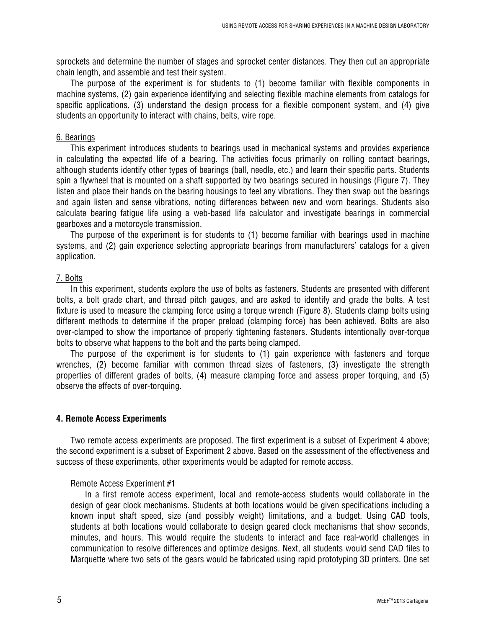sprockets and determine the number of stages and sprocket center distances. They then cut an appropriate chain length, and assemble and test their system.

The purpose of the experiment is for students to (1) become familiar with flexible components in machine systems, (2) gain experience identifying and selecting flexible machine elements from catalogs for specific applications, (3) understand the design process for a flexible component system, and (4) give students an opportunity to interact with chains, belts, wire rope.

#### 6. Bearings

This experiment introduces students to bearings used in mechanical systems and provides experience in calculating the expected life of a bearing. The activities focus primarily on rolling contact bearings, although students identify other types of bearings (ball, needle, etc.) and learn their specific parts. Students spin a flywheel that is mounted on a shaft supported by two bearings secured in housings (Figure 7). They listen and place their hands on the bearing housings to feel any vibrations. They then swap out the bearings and again listen and sense vibrations, noting differences between new and worn bearings. Students also calculate bearing fatigue life using a web-based life calculator and investigate bearings in commercial gearboxes and a motorcycle transmission.

The purpose of the experiment is for students to (1) become familiar with bearings used in machine systems, and (2) gain experience selecting appropriate bearings from manufacturers' catalogs for a given application.

#### 7. Bolts

In this experiment, students explore the use of bolts as fasteners. Students are presented with different bolts, a bolt grade chart, and thread pitch gauges, and are asked to identify and grade the bolts. A test fixture is used to measure the clamping force using a torque wrench (Figure 8). Students clamp bolts using different methods to determine if the proper preload (clamping force) has been achieved. Bolts are also over-clamped to show the importance of properly tightening fasteners. Students intentionally over-torque bolts to observe what happens to the bolt and the parts being clamped.

The purpose of the experiment is for students to (1) gain experience with fasteners and torque wrenches, (2) become familiar with common thread sizes of fasteners, (3) investigate the strength properties of different grades of bolts, (4) measure clamping force and assess proper torquing, and (5) observe the effects of over-torquing.

#### **4. Remote Access Experiments**

Two remote access experiments are proposed. The first experiment is a subset of Experiment 4 above; the second experiment is a subset of Experiment 2 above. Based on the assessment of the effectiveness and success of these experiments, other experiments would be adapted for remote access.

#### Remote Access Experiment #1

In a first remote access experiment, local and remote-access students would collaborate in the design of gear clock mechanisms. Students at both locations would be given specifications including a known input shaft speed, size (and possibly weight) limitations, and a budget. Using CAD tools, students at both locations would collaborate to design geared clock mechanisms that show seconds, minutes, and hours. This would require the students to interact and face real-world challenges in communication to resolve differences and optimize designs. Next, all students would send CAD files to Marquette where two sets of the gears would be fabricated using rapid prototyping 3D printers. One set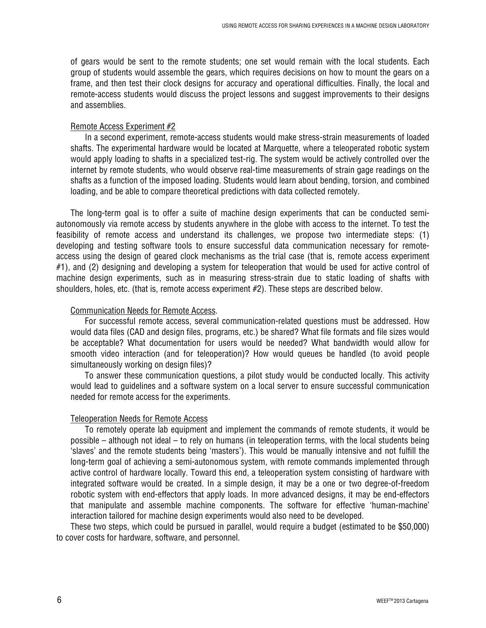of gears would be sent to the remote students; one set would remain with the local students. Each group of students would assemble the gears, which requires decisions on how to mount the gears on a frame, and then test their clock designs for accuracy and operational difficulties. Finally, the local and remote-access students would discuss the project lessons and suggest improvements to their designs and assemblies.

#### Remote Access Experiment #2

In a second experiment, remote-access students would make stress-strain measurements of loaded shafts. The experimental hardware would be located at Marquette, where a teleoperated robotic system would apply loading to shafts in a specialized test-rig. The system would be actively controlled over the internet by remote students, who would observe real-time measurements of strain gage readings on the shafts as a function of the imposed loading. Students would learn about bending, torsion, and combined loading, and be able to compare theoretical predictions with data collected remotely.

The long-term goal is to offer a suite of machine design experiments that can be conducted semiautonomously via remote access by students anywhere in the globe with access to the internet. To test the feasibility of remote access and understand its challenges, we propose two intermediate steps: (1) developing and testing software tools to ensure successful data communication necessary for remoteaccess using the design of geared clock mechanisms as the trial case (that is, remote access experiment #1), and (2) designing and developing a system for teleoperation that would be used for active control of machine design experiments, such as in measuring stress-strain due to static loading of shafts with shoulders, holes, etc. (that is, remote access experiment #2). These steps are described below.

#### Communication Needs for Remote Access.

For successful remote access, several communication-related questions must be addressed. How would data files (CAD and design files, programs, etc.) be shared? What file formats and file sizes would be acceptable? What documentation for users would be needed? What bandwidth would allow for smooth video interaction (and for teleoperation)? How would queues be handled (to avoid people simultaneously working on design files)?

To answer these communication questions, a pilot study would be conducted locally. This activity would lead to guidelines and a software system on a local server to ensure successful communication needed for remote access for the experiments.

#### Teleoperation Needs for Remote Access

To remotely operate lab equipment and implement the commands of remote students, it would be possible – although not ideal – to rely on humans (in teleoperation terms, with the local students being 'slaves' and the remote students being 'masters'). This would be manually intensive and not fulfill the long-term goal of achieving a semi-autonomous system, with remote commands implemented through active control of hardware locally. Toward this end, a teleoperation system consisting of hardware with integrated software would be created. In a simple design, it may be a one or two degree-of-freedom robotic system with end-effectors that apply loads. In more advanced designs, it may be end-effectors that manipulate and assemble machine components. The software for effective 'human-machine' interaction tailored for machine design experiments would also need to be developed.

These two steps, which could be pursued in parallel, would require a budget (estimated to be \$50,000) to cover costs for hardware, software, and personnel.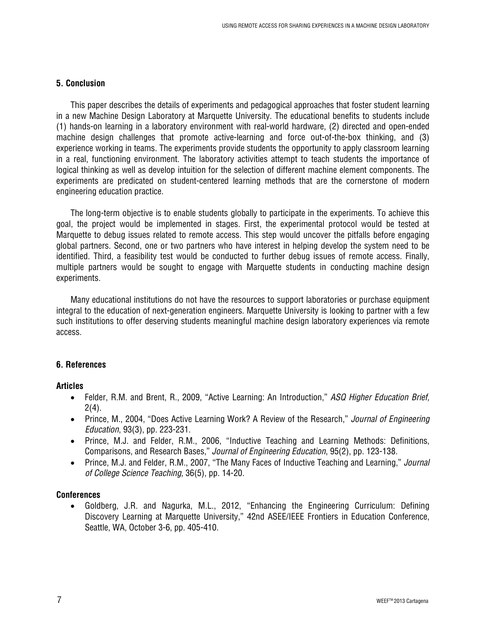#### **5. Conclusion**

This paper describes the details of experiments and pedagogical approaches that foster student learning in a new Machine Design Laboratory at Marquette University. The educational benefits to students include (1) hands-on learning in a laboratory environment with real-world hardware, (2) directed and open-ended machine design challenges that promote active-learning and force out-of-the-box thinking, and (3) experience working in teams. The experiments provide students the opportunity to apply classroom learning in a real, functioning environment. The laboratory activities attempt to teach students the importance of logical thinking as well as develop intuition for the selection of different machine element components. The experiments are predicated on student-centered learning methods that are the cornerstone of modern engineering education practice.

The long-term objective is to enable students globally to participate in the experiments. To achieve this goal, the project would be implemented in stages. First, the experimental protocol would be tested at Marquette to debug issues related to remote access. This step would uncover the pitfalls before engaging global partners. Second, one or two partners who have interest in helping develop the system need to be identified. Third, a feasibility test would be conducted to further debug issues of remote access. Finally, multiple partners would be sought to engage with Marquette students in conducting machine design experiments.

Many educational institutions do not have the resources to support laboratories or purchase equipment integral to the education of next-generation engineers. Marquette University is looking to partner with a few such institutions to offer deserving students meaningful machine design laboratory experiences via remote access.

#### **6. References**

#### **Articles**

- Felder, R.M. and Brent, R., 2009, ["Active Learning: An Introduction,"](http://www4.ncsu.edu/unity/lockers/users/f/felder/public/Papers/ALpaper(ASQ).pdf) *ASQ Higher Education Brief,*   $2(4)$ .
- Prince, M., 2004, "Does Active Learning Work? A Review of the Research," *Journal of Engineering Education*, 93(3), pp. 223-231.
- Prince, M.J. and Felder, R.M., 2006, "Inductive Teaching and Learning Methods: Definitions, Comparisons, and Research Bases," *Journal of Engineering Education*, 95(2), pp. 123-138.
- Prince, M.J. and Felder, R.M., 2007, "The Many Faces of Inductive Teaching and Learning," *Journal of College Science Teaching,* 36(5), pp. 14-20.

#### **Conferences**

• Goldberg, J.R. and Nagurka, M.L., 2012, "Enhancing the Engineering Curriculum: Defining Discovery Learning at Marquette University," 42nd ASEE/IEEE Frontiers in Education Conference, Seattle, WA, October 3-6, pp. 405-410.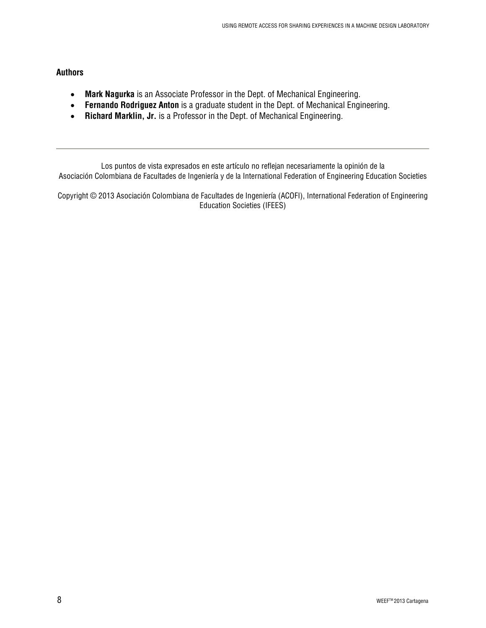#### **Authors**

- **Mark Nagurka** is an Associate Professor in the Dept. of Mechanical Engineering.
- **Fernando Rodriguez Anton** is a graduate student in the Dept. of Mechanical Engineering.
- **Richard Marklin, Jr.** is a Professor in the Dept. of Mechanical Engineering.

Los puntos de vista expresados en este artículo no reflejan necesariamente la opinión de la Asociación Colombiana de Facultades de Ingeniería y de la [International Federation of Engineering Education Societies](http://www.sefi.be/ifees/)

Copyright © 2013 Asociación Colombiana de Facultades de Ingeniería (ACOFI)[, International Federation of Engineering](http://www.sefi.be/ifees/)  [Education Societies](http://www.sefi.be/ifees/) (IFEES)